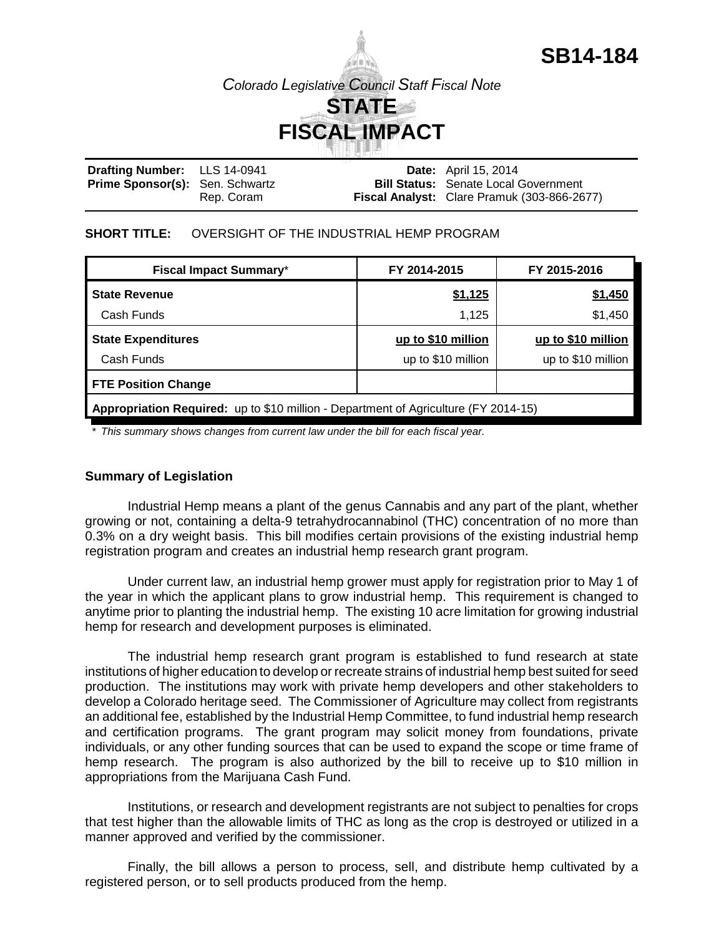

**SB14-184**

#### **Drafting Number:** Prime Sponsor(s): Sen. Schwartz LLS 14-0941 Rep. Coram **Date:** April 15, 2014 **Bill Status:** Senate Local Government **Fiscal Analyst:** Clare Pramuk (303-866-2677)

## **SHORT TITLE:** OVERSIGHT OF THE INDUSTRIAL HEMP PROGRAM

| <b>Fiscal Impact Summary*</b>                                                       | FY 2014-2015       | FY 2015-2016       |  |  |
|-------------------------------------------------------------------------------------|--------------------|--------------------|--|--|
| <b>State Revenue</b>                                                                | \$1,125            | \$1,450            |  |  |
| Cash Funds                                                                          | 1,125              | \$1,450            |  |  |
| <b>State Expenditures</b>                                                           | up to \$10 million | up to \$10 million |  |  |
| Cash Funds                                                                          | up to \$10 million | up to \$10 million |  |  |
| <b>FTE Position Change</b>                                                          |                    |                    |  |  |
| Appropriation Required: up to \$10 million - Department of Agriculture (FY 2014-15) |                    |                    |  |  |

*\* This summary shows changes from current law under the bill for each fiscal year.* 

## **Summary of Legislation**

Industrial Hemp means a plant of the genus Cannabis and any part of the plant, whether growing or not, containing a delta-9 tetrahydrocannabinol (THC) concentration of no more than 0.3% on a dry weight basis. This bill modifies certain provisions of the existing industrial hemp registration program and creates an industrial hemp research grant program.

Under current law, an industrial hemp grower must apply for registration prior to May 1 of the year in which the applicant plans to grow industrial hemp. This requirement is changed to anytime prior to planting the industrial hemp. The existing 10 acre limitation for growing industrial hemp for research and development purposes is eliminated.

The industrial hemp research grant program is established to fund research at state institutions of higher education to develop or recreate strains of industrial hemp best suited for seed production. The institutions may work with private hemp developers and other stakeholders to develop a Colorado heritage seed. The Commissioner of Agriculture may collect from registrants an additional fee, established by the Industrial Hemp Committee, to fund industrial hemp research and certification programs. The grant program may solicit money from foundations, private individuals, or any other funding sources that can be used to expand the scope or time frame of hemp research. The program is also authorized by the bill to receive up to \$10 million in appropriations from the Marijuana Cash Fund.

Institutions, or research and development registrants are not subject to penalties for crops that test higher than the allowable limits of THC as long as the crop is destroyed or utilized in a manner approved and verified by the commissioner.

Finally, the bill allows a person to process, sell, and distribute hemp cultivated by a registered person, or to sell products produced from the hemp.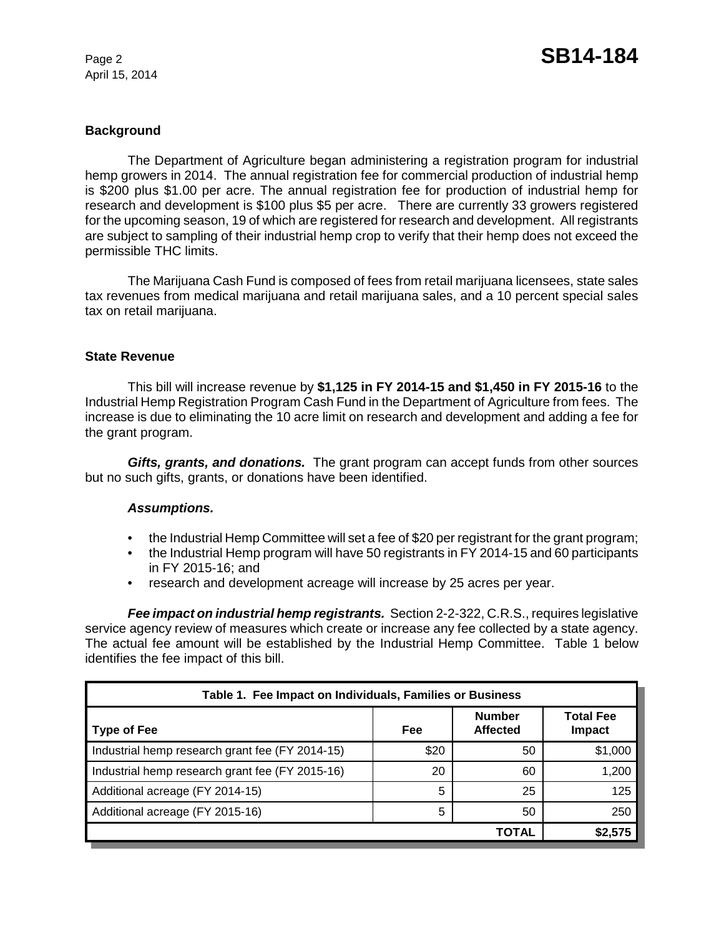April 15, 2014

# **Background**

The Department of Agriculture began administering a registration program for industrial hemp growers in 2014. The annual registration fee for commercial production of industrial hemp is \$200 plus \$1.00 per acre. The annual registration fee for production of industrial hemp for research and development is \$100 plus \$5 per acre. There are currently 33 growers registered for the upcoming season, 19 of which are registered for research and development. All registrants are subject to sampling of their industrial hemp crop to verify that their hemp does not exceed the permissible THC limits.

The Marijuana Cash Fund is composed of fees from retail marijuana licensees, state sales tax revenues from medical marijuana and retail marijuana sales, and a 10 percent special sales tax on retail marijuana.

## **State Revenue**

This bill will increase revenue by **\$1,125 in FY 2014-15 and \$1,450 in FY 2015-16** to the Industrial Hemp Registration Program Cash Fund in the Department of Agriculture from fees. The increase is due to eliminating the 10 acre limit on research and development and adding a fee for the grant program.

*Gifts, grants, and donations.* The grant program can accept funds from other sources but no such gifts, grants, or donations have been identified.

## *Assumptions.*

- the Industrial Hemp Committee will set a fee of \$20 per registrant for the grant program;
- the Industrial Hemp program will have 50 registrants in FY 2014-15 and 60 participants in FY 2015-16; and
- research and development acreage will increase by 25 acres per year.

*Fee impact on industrial hemp registrants.* Section 2-2-322, C.R.S., requires legislative service agency review of measures which create or increase any fee collected by a state agency. The actual fee amount will be established by the Industrial Hemp Committee. Table 1 below identifies the fee impact of this bill.

| Table 1. Fee Impact on Individuals, Families or Business |      |                                  |                                   |  |
|----------------------------------------------------------|------|----------------------------------|-----------------------------------|--|
| Type of Fee                                              | Fee  | <b>Number</b><br><b>Affected</b> | <b>Total Fee</b><br><b>Impact</b> |  |
| Industrial hemp research grant fee (FY 2014-15)          | \$20 | 50                               | \$1,000                           |  |
| Industrial hemp research grant fee (FY 2015-16)          | 20   | 60                               | 1,200                             |  |
| Additional acreage (FY 2014-15)                          | 5    | 25                               | 125                               |  |
| Additional acreage (FY 2015-16)                          | 5    | 50                               | 250                               |  |
|                                                          |      | <b>TOTAL</b>                     | \$2,575                           |  |